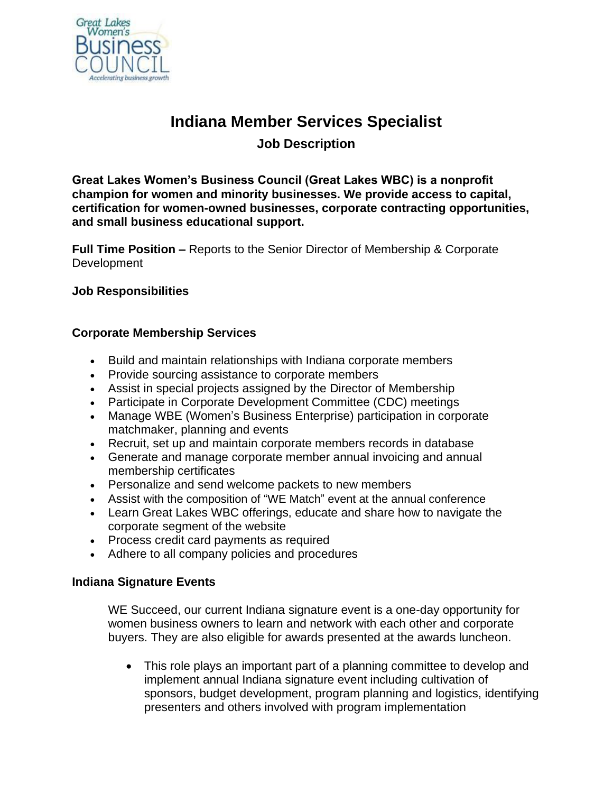

# **Indiana Member Services Specialist**

# **Job Description**

**Great Lakes Women's Business Council (Great Lakes WBC) is a nonprofit champion for women and minority businesses. We provide access to capital, certification for women-owned businesses, corporate contracting opportunities, and small business educational support.**

**Full Time Position –** Reports to the Senior Director of Membership & Corporate **Development** 

## **Job Responsibilities**

## **Corporate Membership Services**

- Build and maintain relationships with Indiana corporate members
- Provide sourcing assistance to corporate members
- Assist in special projects assigned by the Director of Membership
- Participate in Corporate Development Committee (CDC) meetings
- Manage WBE (Women's Business Enterprise) participation in corporate matchmaker, planning and events
- Recruit, set up and maintain corporate members records in database
- Generate and manage corporate member annual invoicing and annual membership certificates
- Personalize and send welcome packets to new members
- Assist with the composition of "WE Match" event at the annual conference
- Learn Great Lakes WBC offerings, educate and share how to navigate the corporate segment of the website
- Process credit card payments as required
- Adhere to all company policies and procedures

#### **Indiana Signature Events**

WE Succeed, our current Indiana signature event is a one-day opportunity for women business owners to learn and network with each other and corporate buyers. They are also eligible for awards presented at the awards luncheon.

• This role plays an important part of a planning committee to develop and implement annual Indiana signature event including cultivation of sponsors, budget development, program planning and logistics, identifying presenters and others involved with program implementation